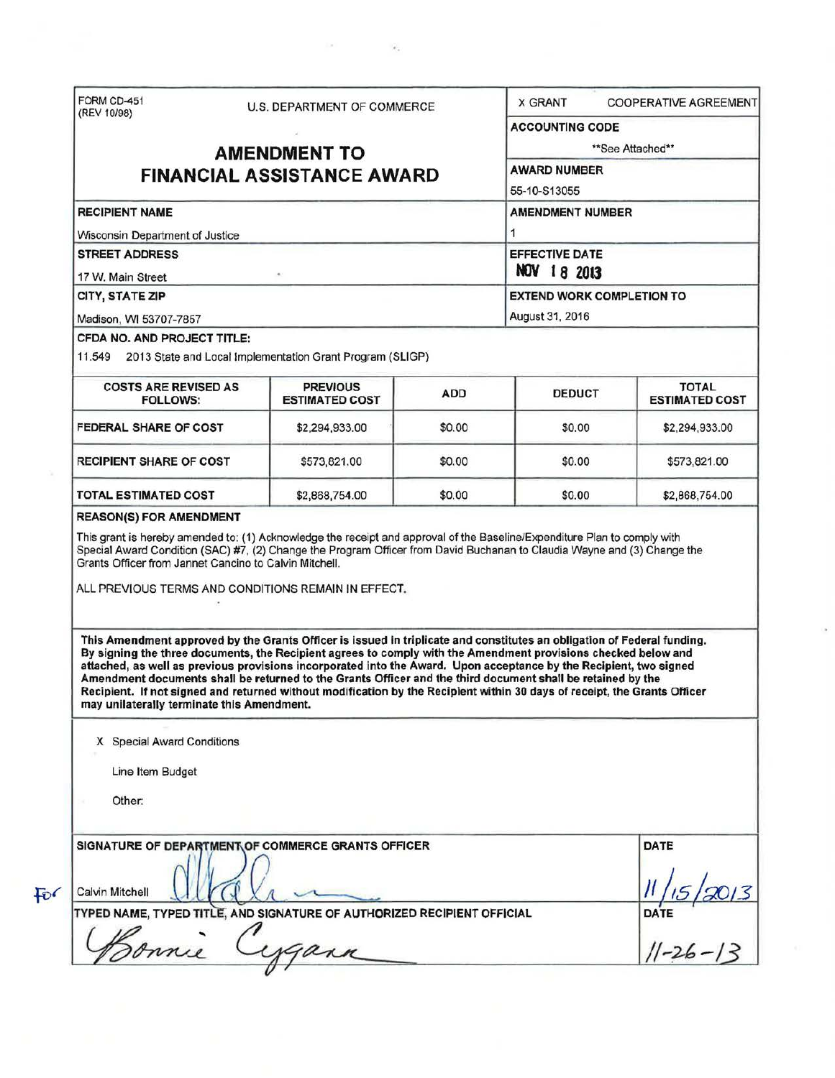|                                                                                                                                                                                                                                                                                                                                                                                                                                                                                                                                                                                                                                                                                                                                                                                                                                                                                                                                                                                                                                                                       | U.S. DEPARTMENT OF COMMERCE                               |                                          | <b>X GRANT</b><br><b>COOPERATIVE AGREEMENT</b> |                                     |                                       |  |
|-----------------------------------------------------------------------------------------------------------------------------------------------------------------------------------------------------------------------------------------------------------------------------------------------------------------------------------------------------------------------------------------------------------------------------------------------------------------------------------------------------------------------------------------------------------------------------------------------------------------------------------------------------------------------------------------------------------------------------------------------------------------------------------------------------------------------------------------------------------------------------------------------------------------------------------------------------------------------------------------------------------------------------------------------------------------------|-----------------------------------------------------------|------------------------------------------|------------------------------------------------|-------------------------------------|---------------------------------------|--|
|                                                                                                                                                                                                                                                                                                                                                                                                                                                                                                                                                                                                                                                                                                                                                                                                                                                                                                                                                                                                                                                                       |                                                           |                                          |                                                | <b>ACCOUNTING CODE</b>              |                                       |  |
| <b>AMENDMENT TO</b>                                                                                                                                                                                                                                                                                                                                                                                                                                                                                                                                                                                                                                                                                                                                                                                                                                                                                                                                                                                                                                                   |                                                           |                                          |                                                | **See Attached**                    |                                       |  |
| <b>FINANCIAL ASSISTANCE AWARD</b>                                                                                                                                                                                                                                                                                                                                                                                                                                                                                                                                                                                                                                                                                                                                                                                                                                                                                                                                                                                                                                     |                                                           |                                          |                                                | <b>AWARD NUMBER</b><br>55-10-S13055 |                                       |  |
|                                                                                                                                                                                                                                                                                                                                                                                                                                                                                                                                                                                                                                                                                                                                                                                                                                                                                                                                                                                                                                                                       |                                                           |                                          |                                                |                                     |                                       |  |
| <b>RECIPIENT NAME</b>                                                                                                                                                                                                                                                                                                                                                                                                                                                                                                                                                                                                                                                                                                                                                                                                                                                                                                                                                                                                                                                 |                                                           |                                          |                                                | <b>AMENDMENT NUMBER</b>             |                                       |  |
| Wisconsin Department of Justice                                                                                                                                                                                                                                                                                                                                                                                                                                                                                                                                                                                                                                                                                                                                                                                                                                                                                                                                                                                                                                       |                                                           |                                          |                                                |                                     |                                       |  |
| <b>STREET ADDRESS</b>                                                                                                                                                                                                                                                                                                                                                                                                                                                                                                                                                                                                                                                                                                                                                                                                                                                                                                                                                                                                                                                 |                                                           |                                          |                                                | <b>EFFECTIVE DATE</b>               |                                       |  |
| 17 W. Main Street                                                                                                                                                                                                                                                                                                                                                                                                                                                                                                                                                                                                                                                                                                                                                                                                                                                                                                                                                                                                                                                     |                                                           |                                          |                                                | NOV 18 2013                         |                                       |  |
| CITY, STATE ZIP<br>Madison, WI 53707-7857                                                                                                                                                                                                                                                                                                                                                                                                                                                                                                                                                                                                                                                                                                                                                                                                                                                                                                                                                                                                                             |                                                           |                                          |                                                | <b>EXTEND WORK COMPLETION TO</b>    |                                       |  |
|                                                                                                                                                                                                                                                                                                                                                                                                                                                                                                                                                                                                                                                                                                                                                                                                                                                                                                                                                                                                                                                                       |                                                           |                                          |                                                | August 31, 2016                     |                                       |  |
| CFDA NO. AND PROJECT TITLE:<br>11.549                                                                                                                                                                                                                                                                                                                                                                                                                                                                                                                                                                                                                                                                                                                                                                                                                                                                                                                                                                                                                                 | 2013 State and Local Implementation Grant Program (SLIGP) |                                          |                                                |                                     |                                       |  |
| <b>COSTS ARE REVISED AS</b><br><b>FOLLOWS:</b>                                                                                                                                                                                                                                                                                                                                                                                                                                                                                                                                                                                                                                                                                                                                                                                                                                                                                                                                                                                                                        |                                                           | <b>PREVIOUS</b><br><b>ESTIMATED COST</b> | <b>ADD</b>                                     | <b>DEDUCT</b>                       | <b>TOTAL</b><br><b>ESTIMATED COST</b> |  |
| <b>FEDERAL SHARE OF COST</b>                                                                                                                                                                                                                                                                                                                                                                                                                                                                                                                                                                                                                                                                                                                                                                                                                                                                                                                                                                                                                                          |                                                           | \$2,294,933.00                           | \$0.00                                         | \$0.00                              | \$2,294,933.00                        |  |
| <b>RECIPIENT SHARE OF COST</b>                                                                                                                                                                                                                                                                                                                                                                                                                                                                                                                                                                                                                                                                                                                                                                                                                                                                                                                                                                                                                                        |                                                           | \$573,821.00                             | \$0.00                                         | \$0.00                              | \$573,821.00                          |  |
| <b>TOTAL ESTIMATED COST</b>                                                                                                                                                                                                                                                                                                                                                                                                                                                                                                                                                                                                                                                                                                                                                                                                                                                                                                                                                                                                                                           |                                                           | \$2,868,754.00                           | \$0.00                                         | \$0.00                              | \$2,868,754.00                        |  |
|                                                                                                                                                                                                                                                                                                                                                                                                                                                                                                                                                                                                                                                                                                                                                                                                                                                                                                                                                                                                                                                                       |                                                           |                                          |                                                |                                     |                                       |  |
| <b>REASON(S) FOR AMENDMENT</b><br>This grant is hereby amended to: (1) Acknowledge the receipt and approval of the Baseline/Expenditure Plan to comply with<br>Special Award Condition (SAC) #7, (2) Change the Program Officer from David Buchanan to Claudia Wayne and (3) Change the<br>Grants Officer from Jannet Cancino to Calvin Mitchell.<br>ALL PREVIOUS TERMS AND CONDITIONS REMAIN IN EFFECT.<br>This Amendment approved by the Grants Officer is issued in triplicate and constitutes an obligation of Federal funding.<br>By signing the three documents, the Recipient agrees to comply with the Amendment provisions checked below and<br>attached, as well as previous provisions incorporated into the Award. Upon acceptance by the Recipient, two signed<br>Amendment documents shall be returned to the Grants Officer and the third document shall be retained by the<br>Recipient. If not signed and returned without modification by the Recipient within 30 days of receipt, the Grants Officer<br>may unilaterally terminate this Amendment. |                                                           |                                          |                                                |                                     |                                       |  |
| X Special Award Conditions                                                                                                                                                                                                                                                                                                                                                                                                                                                                                                                                                                                                                                                                                                                                                                                                                                                                                                                                                                                                                                            |                                                           |                                          |                                                |                                     |                                       |  |
|                                                                                                                                                                                                                                                                                                                                                                                                                                                                                                                                                                                                                                                                                                                                                                                                                                                                                                                                                                                                                                                                       |                                                           |                                          |                                                |                                     |                                       |  |
| Line Item Budget                                                                                                                                                                                                                                                                                                                                                                                                                                                                                                                                                                                                                                                                                                                                                                                                                                                                                                                                                                                                                                                      |                                                           |                                          |                                                |                                     |                                       |  |
| Other:                                                                                                                                                                                                                                                                                                                                                                                                                                                                                                                                                                                                                                                                                                                                                                                                                                                                                                                                                                                                                                                                |                                                           |                                          |                                                |                                     |                                       |  |
| SIGNATURE OF DEPARTMENT OF COMMERCE GRANTS OFFICER                                                                                                                                                                                                                                                                                                                                                                                                                                                                                                                                                                                                                                                                                                                                                                                                                                                                                                                                                                                                                    |                                                           |                                          |                                                |                                     | DATE                                  |  |
| Calvin Mitchell                                                                                                                                                                                                                                                                                                                                                                                                                                                                                                                                                                                                                                                                                                                                                                                                                                                                                                                                                                                                                                                       |                                                           |                                          |                                                |                                     |                                       |  |
| TYPED NAME, TYPED TITLE, AND SIGNATURE OF AUTHORIZED RECIPIENT OFFICIAL                                                                                                                                                                                                                                                                                                                                                                                                                                                                                                                                                                                                                                                                                                                                                                                                                                                                                                                                                                                               |                                                           |                                          |                                                |                                     | DATE<br>$1-26-13$                     |  |

 $\tilde{\epsilon}_s$